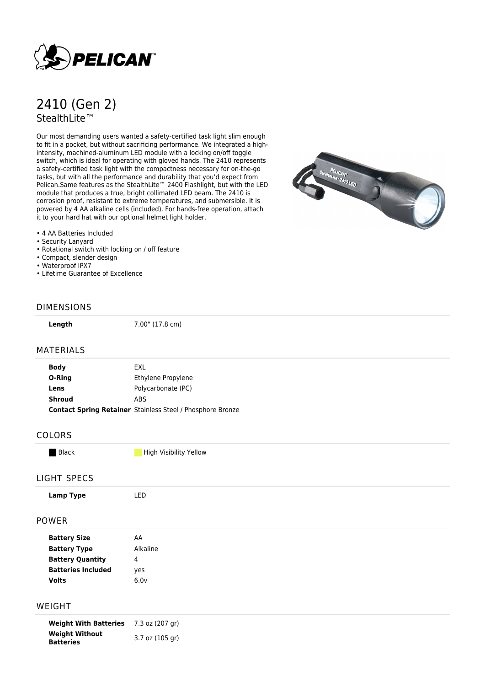

# 2410 (Gen 2) StealthLite™

Our most demanding users wanted a safety-certified task light slim enough to fit in a pocket, but without sacrificing performance. We integrated a highintensity, machined-aluminum LED module with a locking on/off toggle switch, which is ideal for operating with gloved hands. The 2410 represents a safety-certified task light with the compactness necessary for on-the-go tasks, but with all the performance and durability that you'd expect from Pelican.Same features as the StealthLite™ 2400 Flashlight, but with the LED module that produces a true, bright collimated LED beam. The 2410 is corrosion proof, resistant to extreme temperatures, and submersible. It is powered by 4 AA alkaline cells (included). For hands-free operation, attach it to your hard hat with our optional helmet light holder.



- 4 AA Batteries Included
- Security Lanyard
- Rotational switch with locking on / off feature
- Compact, slender design
- Waterproof IPX7
- Lifetime Guarantee of Excellence

### DIMENSIONS

**Length** 7.00" (17.8 cm)

#### MATERIALS

| <b>Body</b>   | EXL                                                               |
|---------------|-------------------------------------------------------------------|
| O-Ring        | Ethylene Propylene                                                |
| Lens          | Polycarbonate (PC)                                                |
| <b>Shroud</b> | <b>ABS</b>                                                        |
|               | <b>Contact Spring Retainer</b> Stainless Steel / Phosphore Bronze |
|               |                                                                   |

#### COLORS

**Black High Visibility Yellow** 

#### LIGHT SPECS

#### POWER

| <b>Battery Size</b>       | АΑ       |
|---------------------------|----------|
| <b>Battery Type</b>       | Alkaline |
| <b>Battery Quantity</b>   | 4        |
| <b>Batteries Included</b> | yes      |
| Volts                     | 6.0v     |

#### WEIGHT

**Weight With Batteries** 7.3 oz (207 gr) **Weight Without Batteries** 3.7 oz (105 gr)